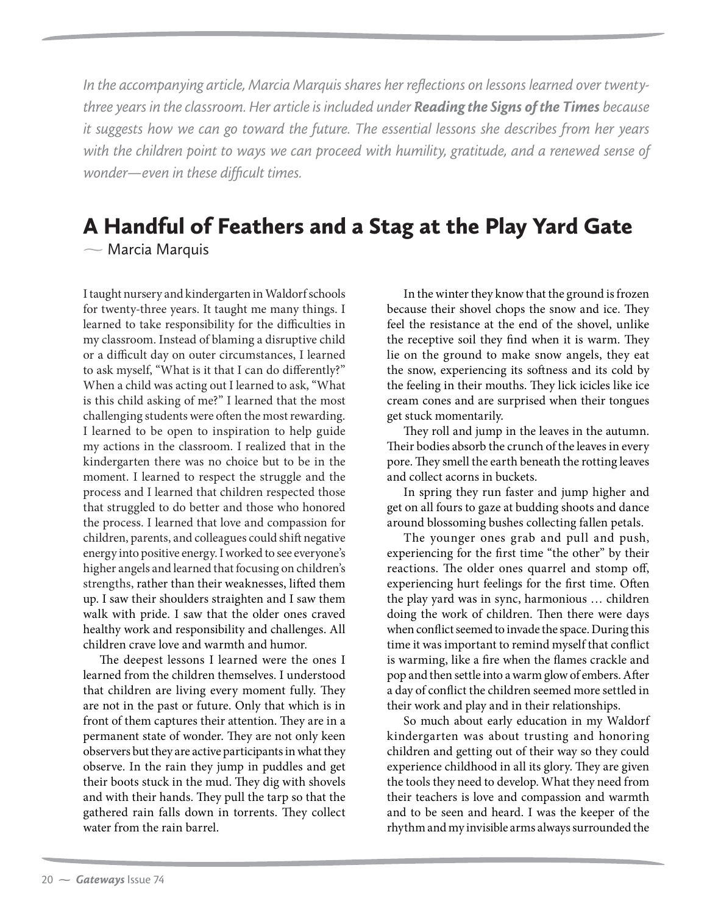*In the accompanying article, Marcia Marquis shares her reflections on lessons learned over twentythree years in the classroom. Her article is included under Reading the Signs of the Times because it suggests how we can go toward the future. The essential lessons she describes from her years with the children point to ways we can proceed with humility, gratitude, and a renewed sense of wonder—even in these difficult times.*

## A Handful of Feathers and a Stag at the Play Yard Gate  $\sim$  Marcia Marquis

I taught nursery and kindergarten in Waldorf schools for twenty-three years. It taught me many things. I learned to take responsibility for the difficulties in my classroom. Instead of blaming a disruptive child or a difficult day on outer circumstances, I learned to ask myself, "What is it that I can do differently?" When a child was acting out I learned to ask, "What is this child asking of me?" I learned that the most challenging students were often the most rewarding. I learned to be open to inspiration to help guide my actions in the classroom. I realized that in the kindergarten there was no choice but to be in the moment. I learned to respect the struggle and the process and I learned that children respected those that struggled to do better and those who honored the process. I learned that love and compassion for children, parents, and colleagues could shift negative energy into positive energy. I worked to see everyone's higher angels and learned that focusing on children's strengths, rather than their weaknesses, lifted them up. I saw their shoulders straighten and I saw them walk with pride. I saw that the older ones craved healthy work and responsibility and challenges. All children crave love and warmth and humor.

The deepest lessons I learned were the ones I learned from the children themselves. I understood that children are living every moment fully. They are not in the past or future. Only that which is in front of them captures their attention. They are in a permanent state of wonder. They are not only keen observers but they are active participants in what they observe. In the rain they jump in puddles and get their boots stuck in the mud. They dig with shovels and with their hands. They pull the tarp so that the gathered rain falls down in torrents. They collect water from the rain barrel.

In the winter they know that the ground is frozen because their shovel chops the snow and ice. They feel the resistance at the end of the shovel, unlike the receptive soil they find when it is warm. They lie on the ground to make snow angels, they eat the snow, experiencing its softness and its cold by the feeling in their mouths. They lick icicles like ice cream cones and are surprised when their tongues get stuck momentarily.

They roll and jump in the leaves in the autumn. Their bodies absorb the crunch of the leaves in every pore. They smell the earth beneath the rotting leaves and collect acorns in buckets.

In spring they run faster and jump higher and get on all fours to gaze at budding shoots and dance around blossoming bushes collecting fallen petals.

The younger ones grab and pull and push, experiencing for the first time "the other" by their reactions. The older ones quarrel and stomp off, experiencing hurt feelings for the first time. Often the play yard was in sync, harmonious … children doing the work of children. Then there were days when conflict seemed to invade the space. During this time it was important to remind myself that conflict is warming, like a fire when the flames crackle and pop and then settle into a warm glow of embers. After a day of conflict the children seemed more settled in their work and play and in their relationships.

So much about early education in my Waldorf kindergarten was about trusting and honoring children and getting out of their way so they could experience childhood in all its glory. They are given the tools they need to develop. What they need from their teachers is love and compassion and warmth and to be seen and heard. I was the keeper of the rhythm and my invisible arms always surrounded the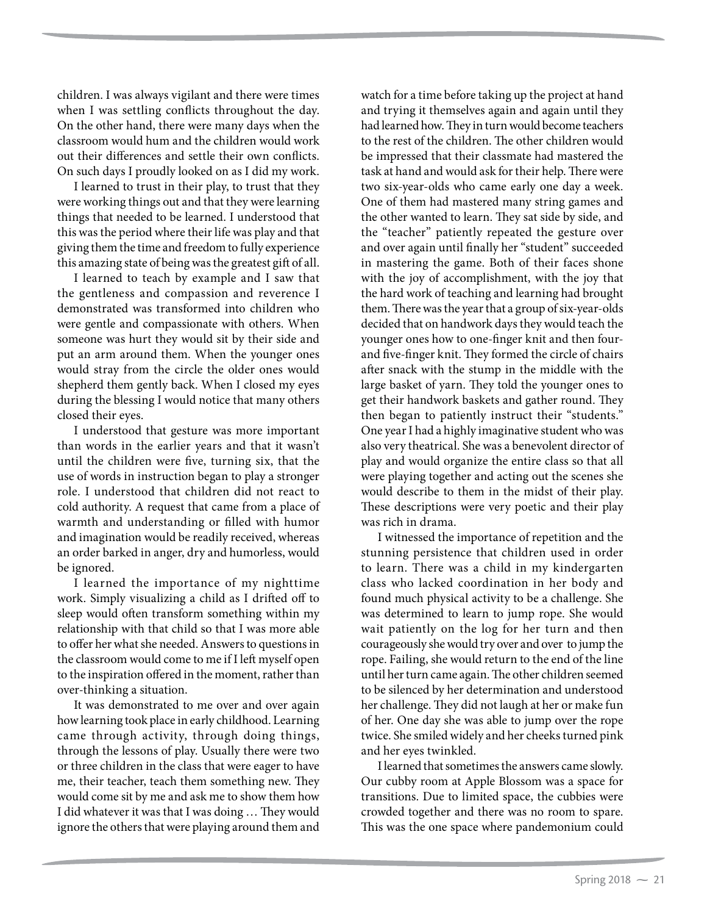children. I was always vigilant and there were times when I was settling conflicts throughout the day. On the other hand, there were many days when the classroom would hum and the children would work out their differences and settle their own conflicts. On such days I proudly looked on as I did my work.

I learned to trust in their play, to trust that they were working things out and that they were learning things that needed to be learned. I understood that this was the period where their life was play and that giving them the time and freedom to fully experience this amazing state of being was the greatest gift of all.

I learned to teach by example and I saw that the gentleness and compassion and reverence I demonstrated was transformed into children who were gentle and compassionate with others. When someone was hurt they would sit by their side and put an arm around them. When the younger ones would stray from the circle the older ones would shepherd them gently back. When I closed my eyes during the blessing I would notice that many others closed their eyes.

I understood that gesture was more important than words in the earlier years and that it wasn't until the children were five, turning six, that the use of words in instruction began to play a stronger role. I understood that children did not react to cold authority. A request that came from a place of warmth and understanding or filled with humor and imagination would be readily received, whereas an order barked in anger, dry and humorless, would be ignored.

I learned the importance of my nighttime work. Simply visualizing a child as I drifted off to sleep would often transform something within my relationship with that child so that I was more able to offer her what she needed. Answers to questions in the classroom would come to me if I left myself open to the inspiration offered in the moment, rather than over-thinking a situation.

It was demonstrated to me over and over again how learning took place in early childhood. Learning came through activity, through doing things, through the lessons of play. Usually there were two or three children in the class that were eager to have me, their teacher, teach them something new. They would come sit by me and ask me to show them how I did whatever it was that I was doing … They would ignore the others that were playing around them and

watch for a time before taking up the project at hand and trying it themselves again and again until they had learned how. They in turn would become teachers to the rest of the children. The other children would be impressed that their classmate had mastered the task at hand and would ask for their help. There were two six-year-olds who came early one day a week. One of them had mastered many string games and the other wanted to learn. They sat side by side, and the "teacher" patiently repeated the gesture over and over again until finally her "student" succeeded in mastering the game. Both of their faces shone with the joy of accomplishment, with the joy that the hard work of teaching and learning had brought them. There was the year that a group of six-year-olds decided that on handwork days they would teach the younger ones how to one-finger knit and then fourand five-finger knit. They formed the circle of chairs after snack with the stump in the middle with the large basket of yarn. They told the younger ones to get their handwork baskets and gather round. They then began to patiently instruct their "students." One year I had a highly imaginative student who was also very theatrical. She was a benevolent director of play and would organize the entire class so that all were playing together and acting out the scenes she would describe to them in the midst of their play. These descriptions were very poetic and their play was rich in drama.

I witnessed the importance of repetition and the stunning persistence that children used in order to learn. There was a child in my kindergarten class who lacked coordination in her body and found much physical activity to be a challenge. She was determined to learn to jump rope. She would wait patiently on the log for her turn and then courageously she would try over and over to jump the rope. Failing, she would return to the end of the line until her turn came again. The other children seemed to be silenced by her determination and understood her challenge. They did not laugh at her or make fun of her. One day she was able to jump over the rope twice. She smiled widely and her cheeks turned pink and her eyes twinkled.

I learned that sometimes the answers came slowly. Our cubby room at Apple Blossom was a space for transitions. Due to limited space, the cubbies were crowded together and there was no room to spare. This was the one space where pandemonium could